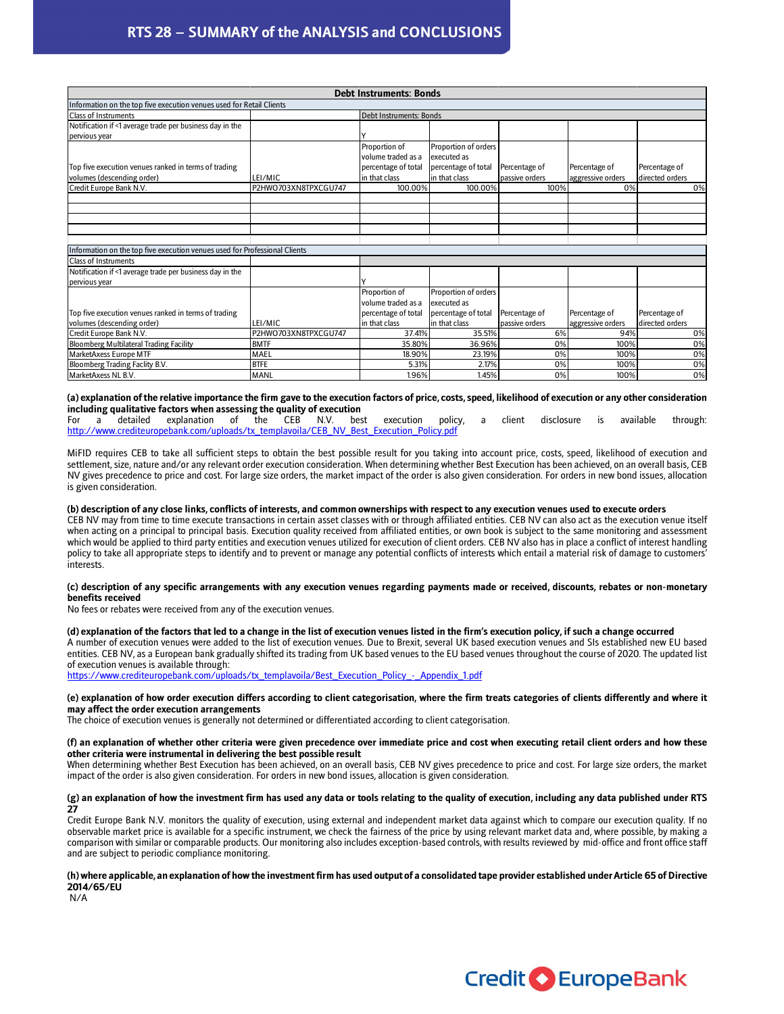# RTS 28 – SUMMARY of the ANALYSIS and CONCLUSIONS

| RTS 28 - SUMMARY of the ANALYSIS and CONCLUSIONS                           |                         |                                |                      |                |      |                   |                 |    |  |
|----------------------------------------------------------------------------|-------------------------|--------------------------------|----------------------|----------------|------|-------------------|-----------------|----|--|
|                                                                            |                         |                                |                      |                |      |                   |                 |    |  |
|                                                                            |                         |                                |                      |                |      |                   |                 |    |  |
|                                                                            |                         |                                |                      |                |      |                   |                 |    |  |
|                                                                            |                         |                                |                      |                |      |                   |                 |    |  |
|                                                                            |                         | <b>Debt Instruments: Bonds</b> |                      |                |      |                   |                 |    |  |
| Information on the top five execution venues used for Retail Clients       |                         |                                |                      |                |      |                   |                 |    |  |
| <b>Class of Instruments</b>                                                | Debt Instruments: Bonds |                                |                      |                |      |                   |                 |    |  |
| Notification if <1 average trade per business day in the                   |                         |                                |                      |                |      |                   |                 |    |  |
| pervious year                                                              |                         |                                |                      |                |      |                   |                 |    |  |
|                                                                            |                         | Proportion of                  | Proportion of orders |                |      |                   |                 |    |  |
|                                                                            |                         | volume traded as a             | executed as          |                |      |                   |                 |    |  |
| Top five execution venues ranked in terms of trading                       |                         | percentage of total            | percentage of total  | Percentage of  |      | Percentage of     | Percentage of   |    |  |
| volumes (descending order)                                                 | LEI/MIC                 | in that class                  | in that class        | passive orders |      | aggressive orders | directed orders |    |  |
| Credit Europe Bank N.V.                                                    | P2HWO703XN8TPXCGU747    | 100.00%                        | 100.00%              |                | 100% | 0%                |                 | 0% |  |
|                                                                            |                         |                                |                      |                |      |                   |                 |    |  |
|                                                                            |                         |                                |                      |                |      |                   |                 |    |  |
|                                                                            |                         |                                |                      |                |      |                   |                 |    |  |
|                                                                            |                         |                                |                      |                |      |                   |                 |    |  |
|                                                                            |                         |                                |                      |                |      |                   |                 |    |  |
| Information on the top five execution venues used for Professional Clients |                         |                                |                      |                |      |                   |                 |    |  |
| <b>Class of Instruments</b>                                                |                         |                                |                      |                |      |                   |                 |    |  |
| Notification if <1 average trade per business day in the                   |                         |                                |                      |                |      |                   |                 |    |  |
| pervious year                                                              |                         |                                |                      |                |      |                   |                 |    |  |
|                                                                            |                         | Proportion of                  | Proportion of orders |                |      |                   |                 |    |  |
|                                                                            |                         | volume traded as a             | executed as          |                |      |                   |                 |    |  |
| Top five execution venues ranked in terms of trading                       |                         | percentage of total            | percentage of total  | Percentage of  |      | Percentage of     | Percentage of   |    |  |
| volumes (descending order)                                                 | LEI/MIC                 | in that class                  | in that class        | passive orders |      | aggressive orders | directed orders |    |  |
| Credit Europe Bank N.V.                                                    | P2HWO703XN8TPXCGU747    | 37.41%                         | 35.51%               |                | 6%   | 94%               |                 | 0% |  |
| <b>Bloomberg Multilateral Trading Facility</b>                             | <b>BMTF</b>             | 35.80%                         | 36.96%               |                | 0%   | 100%              |                 | 0% |  |
| MarketAxess Europe MTF                                                     | MAEL                    | 18.90%                         | 23.19%               |                | 0%   | 100%              |                 | 0% |  |
| Bloomberg Trading Faclity B.V.                                             | <b>BTFE</b>             | 5.31%                          | 2.17%                |                | 0%   | 100%              |                 | 0% |  |
| MarketAxess NL B.V.                                                        | <b>MANL</b>             | 1.96%                          | 1.45%                |                | 0%   | 100%              |                 | 0% |  |

# (a) explanation of the relative importance the firm gave to the execution factors of price, costs, speed, likelihood of execution or any other consideration including qualitative factors when assessing the quality of execution<br>For a detailed explanation of the CEB N.V. best

For a detailed explanation of the CEB N.V. best execution policy, a client disclosure is available through: http://www.crediteuropebank.com/uploads/tx\_templavoila/CEB\_NV\_Best\_Execution\_Policy.pdf

MiFID requires CEB to take all sufficient steps to obtain the best possible result for you taking into account price, costs, speed, likelihood of execution and settlement, size, nature and/or any relevant order execution consideration. When determining whether Best Execution has been achieved, on an overall basis, CEB NV gives precedence to price and cost. For large size orders, the market impact of the order is also given consideration. For orders in new bond issues, allocation is given consideration.

## (b) description of any close links, conflicts of interests, and common ownerships with respect to any execution venues used to execute orders

CEB NV may from time to time execute transactions in certain asset classes with or through affiliated entities. CEB NV can also act as the execution venue itself when acting on a principal to principal basis. Execution quality received from affiliated entities, or own book is subject to the same monitoring and assessment which would be applied to third party entities and execution venues utilized for execution of client orders. CEB NV also has in place a conflict of interest handling policy to take all appropriate steps to identify and to prevent or manage any potential conflicts of interests which entail a material risk of damage to customers' interests.

### (c) description of any specific arrangements with any execution venues regarding payments made or received, discounts, rebates or non-monetary benefits received

No fees or rebates were received from any of the execution venues.

### (d) explanation of the factors that led to a change in the list of execution venues listed in the firm's execution policy, if such a change occurred

A number of execution venues were added to the list of execution venues. Due to Brexit, several UK based execution venues and SIs established new EU based entities. CEB NV, as a European bank gradually shifted its trading from UK based venues to the EU based venues throughout the course of 2020. The updated list of execution venues is available through:

https://www.crediteuropebank.com/uploads/tx\_templavoila/Best\_Execution\_Policy\_-\_Appendix\_1.pdf

#### (e) explanation of how order execution differs according to client categorisation, where the firm treats categories of clients differently and where it may affect the order execution arrangements

The choice of execution venues is generally not determined or differentiated according to client categorisation.

#### (f) an explanation of whether other criteria were given precedence over immediate price and cost when executing retail client orders and how these other criteria were instrumental in delivering the best possible result

When determining whether Best Execution has been achieved, on an overall basis, CEB NV gives precedence to price and cost. For large size orders, the market impact of the order is also given consideration. For orders in new bond issues, allocation is given consideration.

## (g) an explanation of how the investment firm has used any data or tools relating to the quality of execution, including any data published under RTS 27

Credit Europe Bank N.V. monitors the quality of execution, using external and independent market data against which to compare our execution quality. If no observable market price is available for a specific instrument, we check the fairness of the price by using relevant market data and, where possible, by making a comparison with similar or comparable products. Our monitoring also includes exception-based controls, with results reviewed by mid-office and front office staff and are subject to periodic compliance monitoring.

## (h) where applicable, an explanation of how the investment firm has used output of a consolidated tape provider established under Article 65 of Directive 2014/65/EU

N/A